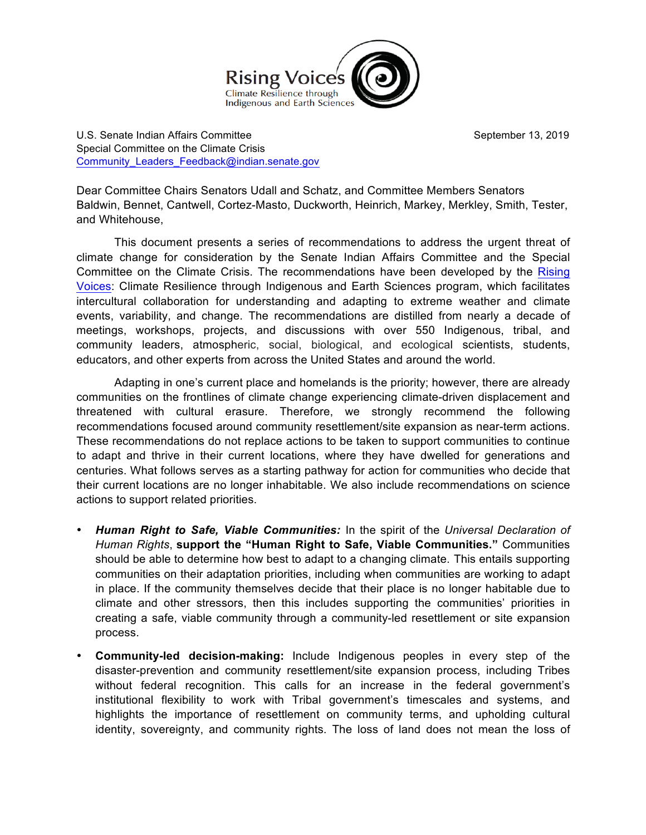

U.S. Senate Indian Affairs Committee **September 13, 2019** September 13, 2019 Special Committee on the Climate Crisis Community Leaders Feedback@indian.senate.gov

Dear Committee Chairs Senators Udall and Schatz, and Committee Members Senators Baldwin, Bennet, Cantwell, Cortez-Masto, Duckworth, Heinrich, Markey, Merkley, Smith, Tester, and Whitehouse,

This document presents a series of recommendations to address the urgent threat of climate change for consideration by the Senate Indian Affairs Committee and the Special Committee on the Climate Crisis. The recommendations have been developed by the Rising Voices: Climate Resilience through Indigenous and Earth Sciences program, which facilitates intercultural collaboration for understanding and adapting to extreme weather and climate events, variability, and change. The recommendations are distilled from nearly a decade of meetings, workshops, projects, and discussions with over 550 Indigenous, tribal, and community leaders, atmospheric, social, biological, and ecological scientists, students, educators, and other experts from across the United States and around the world.

Adapting in one's current place and homelands is the priority; however, there are already communities on the frontlines of climate change experiencing climate-driven displacement and threatened with cultural erasure. Therefore, we strongly recommend the following recommendations focused around community resettlement/site expansion as near-term actions. These recommendations do not replace actions to be taken to support communities to continue to adapt and thrive in their current locations, where they have dwelled for generations and centuries. What follows serves as a starting pathway for action for communities who decide that their current locations are no longer inhabitable. We also include recommendations on science actions to support related priorities.

- *Human Right to Safe, Viable Communities:* In the spirit of the *Universal Declaration of Human Rights*, **support the "Human Right to Safe, Viable Communities."** Communities should be able to determine how best to adapt to a changing climate. This entails supporting communities on their adaptation priorities, including when communities are working to adapt in place. If the community themselves decide that their place is no longer habitable due to climate and other stressors, then this includes supporting the communities' priorities in creating a safe, viable community through a community-led resettlement or site expansion process.
- **Community-led decision-making:** Include Indigenous peoples in every step of the disaster-prevention and community resettlement/site expansion process, including Tribes without federal recognition. This calls for an increase in the federal government's institutional flexibility to work with Tribal government's timescales and systems, and highlights the importance of resettlement on community terms, and upholding cultural identity, sovereignty, and community rights. The loss of land does not mean the loss of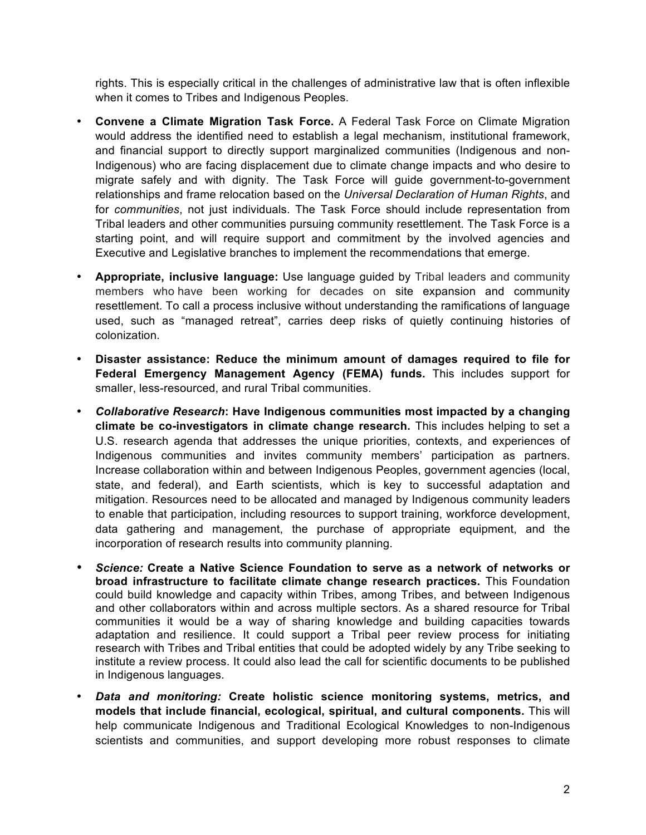rights. This is especially critical in the challenges of administrative law that is often inflexible when it comes to Tribes and Indigenous Peoples.

- **Convene a Climate Migration Task Force.** A Federal Task Force on Climate Migration would address the identified need to establish a legal mechanism, institutional framework, and financial support to directly support marginalized communities (Indigenous and non-Indigenous) who are facing displacement due to climate change impacts and who desire to migrate safely and with dignity. The Task Force will guide government-to-government relationships and frame relocation based on the *Universal Declaration of Human Rights*, and for *communities*, not just individuals. The Task Force should include representation from Tribal leaders and other communities pursuing community resettlement. The Task Force is a starting point, and will require support and commitment by the involved agencies and Executive and Legislative branches to implement the recommendations that emerge.
- **Appropriate, inclusive language:** Use language guided by Tribal leaders and community members who have been working for decades on site expansion and community resettlement. To call a process inclusive without understanding the ramifications of language used, such as "managed retreat", carries deep risks of quietly continuing histories of colonization.
- **Disaster assistance: Reduce the minimum amount of damages required to file for Federal Emergency Management Agency (FEMA) funds.** This includes support for smaller, less-resourced, and rural Tribal communities.
- *Collaborative Research***: Have Indigenous communities most impacted by a changing climate be co-investigators in climate change research.** This includes helping to set a U.S. research agenda that addresses the unique priorities, contexts, and experiences of Indigenous communities and invites community members' participation as partners. Increase collaboration within and between Indigenous Peoples, government agencies (local, state, and federal), and Earth scientists, which is key to successful adaptation and mitigation. Resources need to be allocated and managed by Indigenous community leaders to enable that participation, including resources to support training, workforce development, data gathering and management, the purchase of appropriate equipment, and the incorporation of research results into community planning.
- *Science:* **Create a Native Science Foundation to serve as a network of networks or broad infrastructure to facilitate climate change research practices.** This Foundation could build knowledge and capacity within Tribes, among Tribes, and between Indigenous and other collaborators within and across multiple sectors. As a shared resource for Tribal communities it would be a way of sharing knowledge and building capacities towards adaptation and resilience. It could support a Tribal peer review process for initiating research with Tribes and Tribal entities that could be adopted widely by any Tribe seeking to institute a review process. It could also lead the call for scientific documents to be published in Indigenous languages.
- *Data and monitoring:* **Create holistic science monitoring systems, metrics, and models that include financial, ecological, spiritual, and cultural components.** This will help communicate Indigenous and Traditional Ecological Knowledges to non-Indigenous scientists and communities, and support developing more robust responses to climate